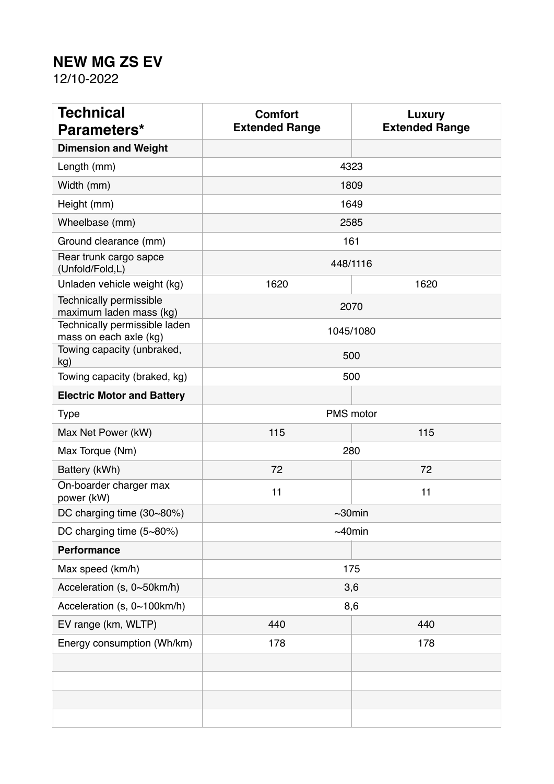## **NEW MG ZS EV**

12/10-2022

| <b>Technical</b><br>Parameters*                         | <b>Comfort</b><br><b>Extended Range</b> | <b>Luxury</b><br><b>Extended Range</b> |
|---------------------------------------------------------|-----------------------------------------|----------------------------------------|
| <b>Dimension and Weight</b>                             |                                         |                                        |
| Length (mm)                                             |                                         | 4323                                   |
| Width (mm)                                              |                                         | 1809                                   |
| Height (mm)                                             |                                         | 1649                                   |
| Wheelbase (mm)                                          |                                         | 2585                                   |
| Ground clearance (mm)                                   | 161                                     |                                        |
| Rear trunk cargo sapce<br>(Unfold/Fold,L)               | 448/1116                                |                                        |
| Unladen vehicle weight (kg)                             | 1620                                    | 1620                                   |
| Technically permissible<br>maximum laden mass (kg)      | 2070                                    |                                        |
| Technically permissible laden<br>mass on each axle (kg) | 1045/1080                               |                                        |
| Towing capacity (unbraked,<br>kg)                       | 500                                     |                                        |
| Towing capacity (braked, kg)                            | 500                                     |                                        |
| <b>Electric Motor and Battery</b>                       |                                         |                                        |
| <b>Type</b>                                             | PMS motor                               |                                        |
| Max Net Power (kW)                                      | 115                                     | 115                                    |
| Max Torque (Nm)                                         | 280                                     |                                        |
| Battery (kWh)                                           | 72                                      | 72                                     |
| On-boarder charger max<br>power (kW)                    | 11                                      | 11                                     |
| DC charging time (30~80%)                               | $\sim$ 30 $min$                         |                                        |
| DC charging time (5~80%)                                | $~10$ min                               |                                        |
| <b>Performance</b>                                      |                                         |                                        |
| Max speed (km/h)                                        | 175                                     |                                        |
| Acceleration (s, 0~50km/h)                              | 3,6                                     |                                        |
| Acceleration (s, 0~100km/h)                             | 8,6                                     |                                        |
| EV range (km, WLTP)                                     | 440                                     | 440                                    |
| Energy consumption (Wh/km)                              | 178                                     | 178                                    |
|                                                         |                                         |                                        |
|                                                         |                                         |                                        |
|                                                         |                                         |                                        |
|                                                         |                                         |                                        |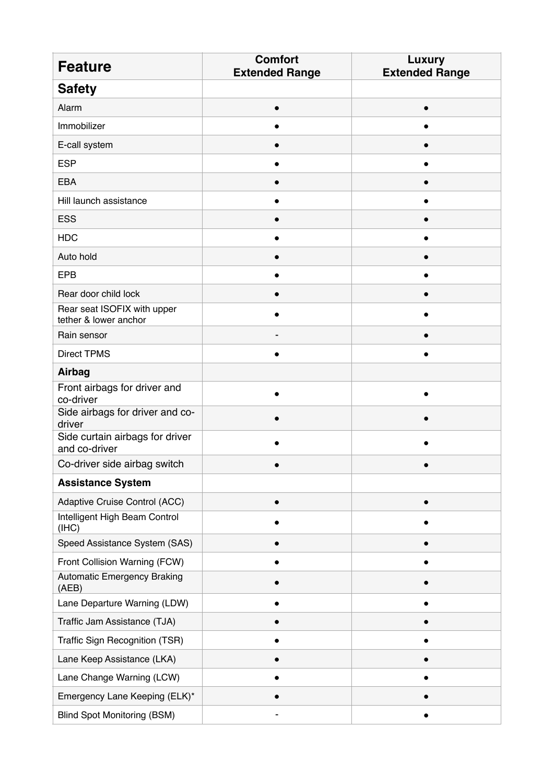| <b>Feature</b>                                       | <b>Comfort</b><br><b>Extended Range</b> | <b>Luxury</b><br><b>Extended Range</b> |
|------------------------------------------------------|-----------------------------------------|----------------------------------------|
| <b>Safety</b>                                        |                                         |                                        |
| Alarm                                                |                                         |                                        |
| Immobilizer                                          |                                         |                                        |
| E-call system                                        |                                         |                                        |
| <b>ESP</b>                                           |                                         |                                        |
| <b>EBA</b>                                           |                                         |                                        |
| Hill launch assistance                               |                                         |                                        |
| <b>ESS</b>                                           |                                         |                                        |
| <b>HDC</b>                                           |                                         |                                        |
| Auto hold                                            |                                         |                                        |
| <b>EPB</b>                                           |                                         |                                        |
| Rear door child lock                                 |                                         |                                        |
| Rear seat ISOFIX with upper<br>tether & lower anchor |                                         |                                        |
| Rain sensor                                          |                                         |                                        |
| <b>Direct TPMS</b>                                   |                                         |                                        |
| Airbag                                               |                                         |                                        |
| Front airbags for driver and<br>co-driver            |                                         |                                        |
| Side airbags for driver and co-<br>driver            |                                         |                                        |
| Side curtain airbags for driver<br>and co-driver     |                                         |                                        |
| Co-driver side airbag switch                         |                                         |                                        |
| <b>Assistance System</b>                             |                                         |                                        |
| Adaptive Cruise Control (ACC)                        |                                         |                                        |
| Intelligent High Beam Control<br>(IHC)               |                                         |                                        |
| Speed Assistance System (SAS)                        |                                         |                                        |
| Front Collision Warning (FCW)                        |                                         |                                        |
| <b>Automatic Emergency Braking</b><br>(AEB)          |                                         |                                        |
| Lane Departure Warning (LDW)                         |                                         |                                        |
| Traffic Jam Assistance (TJA)                         |                                         |                                        |
| Traffic Sign Recognition (TSR)                       |                                         |                                        |
| Lane Keep Assistance (LKA)                           |                                         |                                        |
| Lane Change Warning (LCW)                            |                                         |                                        |
| Emergency Lane Keeping (ELK)*                        |                                         |                                        |
| <b>Blind Spot Monitoring (BSM)</b>                   |                                         |                                        |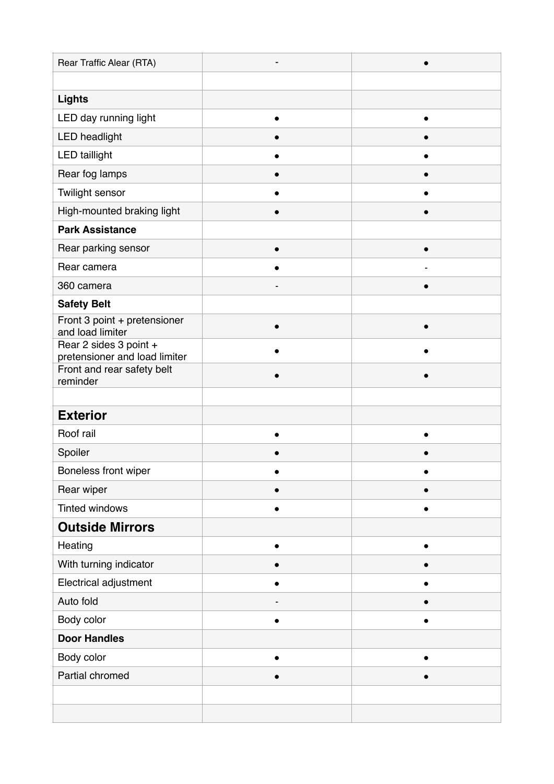| Rear Traffic Alear (RTA)                                |           |  |
|---------------------------------------------------------|-----------|--|
|                                                         |           |  |
| <b>Lights</b>                                           |           |  |
| LED day running light                                   |           |  |
| <b>LED</b> headlight                                    |           |  |
| <b>LED taillight</b>                                    |           |  |
| Rear fog lamps                                          |           |  |
| Twilight sensor                                         |           |  |
| High-mounted braking light                              |           |  |
| <b>Park Assistance</b>                                  |           |  |
| Rear parking sensor                                     |           |  |
| Rear camera                                             |           |  |
| 360 camera                                              |           |  |
| <b>Safety Belt</b>                                      |           |  |
| Front 3 point + pretensioner<br>and load limiter        | $\bullet$ |  |
| Rear 2 sides 3 point +<br>pretensioner and load limiter |           |  |
| Front and rear safety belt                              |           |  |
| reminder                                                |           |  |
| <b>Exterior</b>                                         |           |  |
| Roof rail                                               |           |  |
|                                                         |           |  |
| Spoiler                                                 |           |  |
| Boneless front wiper                                    |           |  |
| Rear wiper                                              |           |  |
| <b>Tinted windows</b>                                   | $\bullet$ |  |
| <b>Outside Mirrors</b>                                  |           |  |
| Heating                                                 |           |  |
| With turning indicator                                  |           |  |
| Electrical adjustment                                   | $\bullet$ |  |
| Auto fold                                               |           |  |
| Body color                                              | $\bullet$ |  |
| <b>Door Handles</b>                                     |           |  |
| Body color                                              |           |  |
| Partial chromed                                         |           |  |
|                                                         |           |  |
|                                                         |           |  |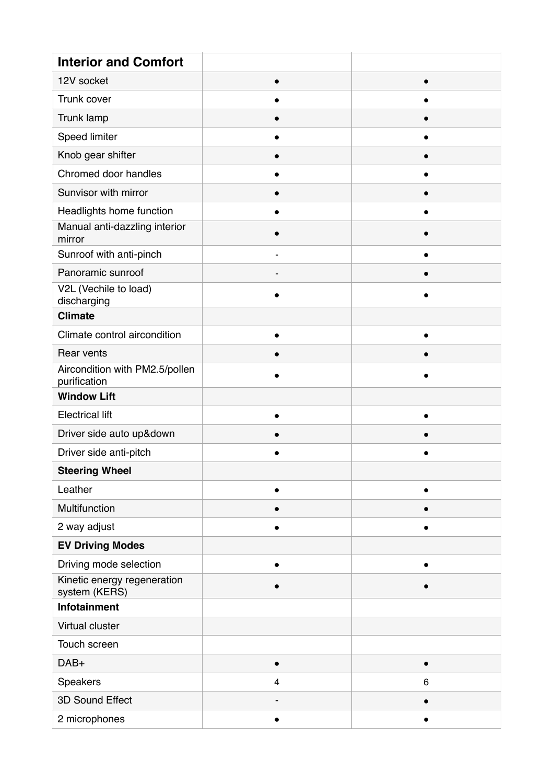| <b>Interior and Comfort</b>                    |                         |           |
|------------------------------------------------|-------------------------|-----------|
| 12V socket                                     | $\bullet$               |           |
| Trunk cover                                    |                         |           |
| Trunk lamp                                     |                         |           |
| Speed limiter                                  |                         |           |
| Knob gear shifter                              |                         |           |
| Chromed door handles                           |                         |           |
| Sunvisor with mirror                           |                         |           |
| Headlights home function                       |                         |           |
| Manual anti-dazzling interior<br>mirror        |                         |           |
| Sunroof with anti-pinch                        | $\blacksquare$          | ●         |
| Panoramic sunroof                              |                         |           |
| V2L (Vechile to load)<br>discharging           |                         |           |
| <b>Climate</b>                                 |                         |           |
| Climate control aircondition                   | ●                       |           |
| Rear vents                                     |                         |           |
| Aircondition with PM2.5/pollen<br>purification |                         |           |
| <b>Window Lift</b>                             |                         |           |
| <b>Electrical lift</b>                         |                         |           |
| Driver side auto up&down                       |                         |           |
| Driver side anti-pitch                         |                         |           |
| <b>Steering Wheel</b>                          |                         |           |
| Leather                                        | $\bullet$               |           |
| Multifunction                                  |                         |           |
| 2 way adjust                                   |                         |           |
| <b>EV Driving Modes</b>                        |                         |           |
| Driving mode selection                         | $\bullet$               | $\bullet$ |
| Kinetic energy regeneration<br>system (KERS)   |                         |           |
| Infotainment                                   |                         |           |
| Virtual cluster                                |                         |           |
| Touch screen                                   |                         |           |
| DAB+                                           | $\bullet$               | $\bullet$ |
| Speakers                                       | $\overline{\mathbf{4}}$ | 6         |
| 3D Sound Effect                                |                         |           |
| 2 microphones                                  | $\bullet$               | $\bullet$ |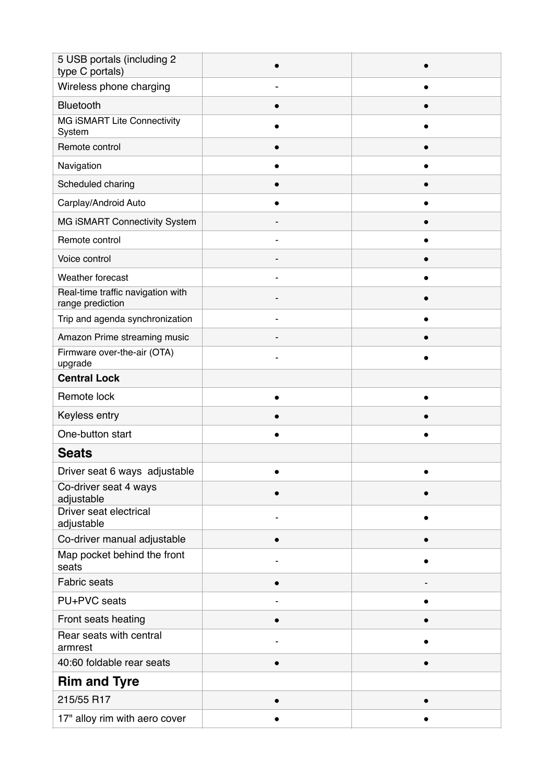| 5 USB portals (including 2<br>type C portals)         |  |
|-------------------------------------------------------|--|
| Wireless phone charging                               |  |
| Bluetooth                                             |  |
| MG iSMART Lite Connectivity<br>System                 |  |
| Remote control                                        |  |
| Navigation                                            |  |
| Scheduled charing                                     |  |
| Carplay/Android Auto                                  |  |
| MG iSMART Connectivity System                         |  |
| Remote control                                        |  |
| Voice control                                         |  |
| Weather forecast                                      |  |
| Real-time traffic navigation with<br>range prediction |  |
| Trip and agenda synchronization                       |  |
| Amazon Prime streaming music                          |  |
| Firmware over-the-air (OTA)<br>upgrade                |  |
| <b>Central Lock</b>                                   |  |
| Remote lock                                           |  |
| Keyless entry                                         |  |
| One-button start                                      |  |
| <b>Seats</b>                                          |  |
| Driver seat 6 ways adjustable                         |  |
| Co-driver seat 4 ways<br>adjustable                   |  |
| Driver seat electrical<br>adjustable                  |  |
| Co-driver manual adjustable                           |  |
| Map pocket behind the front<br>seats                  |  |
| Fabric seats                                          |  |
| PU+PVC seats                                          |  |
| Front seats heating                                   |  |
| Rear seats with central<br>armrest                    |  |
| 40:60 foldable rear seats                             |  |
| <b>Rim and Tyre</b>                                   |  |
| 215/55 R17                                            |  |
| 17" alloy rim with aero cover                         |  |